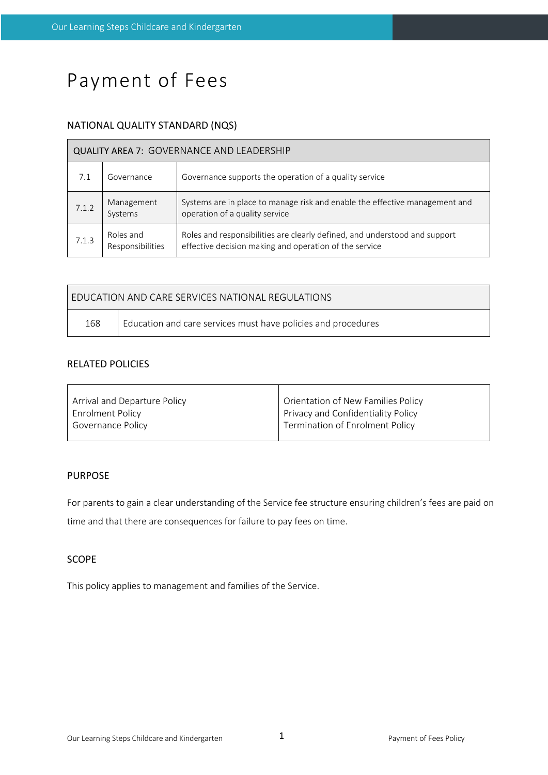# Payment of Fees

# NATIONAL QUALITY STANDARD (NQS)

| <b>QUALITY AREA 7: GOVERNANCE AND LEADERSHIP</b> |                               |                                                                                                                                      |  |  |  |
|--------------------------------------------------|-------------------------------|--------------------------------------------------------------------------------------------------------------------------------------|--|--|--|
|                                                  | Governance                    | Governance supports the operation of a quality service                                                                               |  |  |  |
| 7.1.2                                            | Management<br>Systems         | Systems are in place to manage risk and enable the effective management and<br>operation of a quality service                        |  |  |  |
| 7.1.3                                            | Roles and<br>Responsibilities | Roles and responsibilities are clearly defined, and understood and support<br>effective decision making and operation of the service |  |  |  |

| EDUCATION AND CARE SERVICES NATIONAL REGULATIONS |                                                               |  |  |  |
|--------------------------------------------------|---------------------------------------------------------------|--|--|--|
| 168                                              | Education and care services must have policies and procedures |  |  |  |

# RELATED POLICIES

| Arrival and Departure Policy | Orientation of New Families Policy |
|------------------------------|------------------------------------|
| Enrolment Policy             | Privacy and Confidentiality Policy |
| Governance Policy            | Termination of Enrolment Policy    |
|                              |                                    |

# PURPOSE

For parents to gain a clear understanding of the Service fee structure ensuring children's fees are paid on time and that there are consequences for failure to pay fees on time.

# SCOPE

This policy applies to management and families of the Service.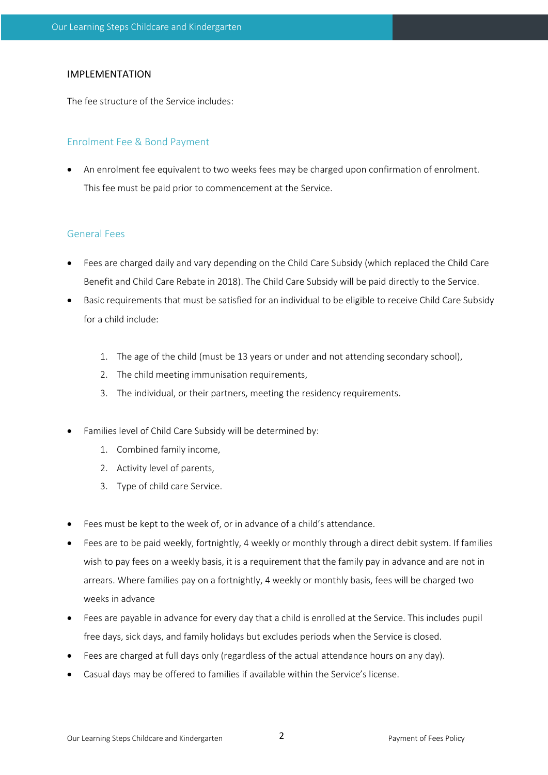#### IMPLEMENTATION

The fee structure of the Service includes:

#### Enrolment Fee & Bond Payment

• An enrolment fee equivalent to two weeks fees may be charged upon confirmation of enrolment. This fee must be paid prior to commencement at the Service.

#### General Fees

- Fees are charged daily and vary depending on the Child Care Subsidy (which replaced the Child Care Benefit and Child Care Rebate in 2018). The Child Care Subsidy will be paid directly to the Service.
- Basic requirements that must be satisfied for an individual to be eligible to receive Child Care Subsidy for a child include:
	- 1. The age of the child (must be 13 years or under and not attending secondary school),
	- 2. The child meeting immunisation requirements,
	- 3. The individual, or their partners, meeting the residency requirements.
- Families level of Child Care Subsidy will be determined by:
	- 1. Combined family income,
	- 2. Activity level of parents,
	- 3. Type of child care Service.
- Fees must be kept to the week of, or in advance of a child's attendance.
- Fees are to be paid weekly, fortnightly, 4 weekly or monthly through a direct debit system. If families wish to pay fees on a weekly basis, it is a requirement that the family pay in advance and are not in arrears. Where families pay on a fortnightly, 4 weekly or monthly basis, fees will be charged two weeks in advance
- Fees are payable in advance for every day that a child is enrolled at the Service. This includes pupil free days, sick days, and family holidays but excludes periods when the Service is closed.
- Fees are charged at full days only (regardless of the actual attendance hours on any day).
- Casual days may be offered to families if available within the Service's license.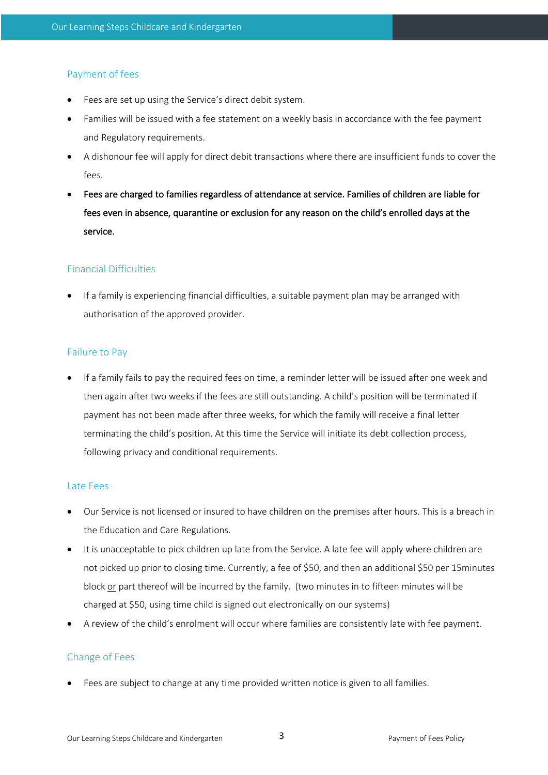### Payment of fees

- Fees are set up using the Service's direct debit system.
- Families will be issued with a fee statement on a weekly basis in accordance with the fee payment and Regulatory requirements.
- A dishonour fee will apply for direct debit transactions where there are insufficient funds to cover the fees.
- Fees are charged to families regardless of attendance at service. Families of children are liable for fees even in absence, quarantine or exclusion for any reason on the child's enrolled days at the service.

#### Financial Difficulties

• If a family is experiencing financial difficulties, a suitable payment plan may be arranged with authorisation of the approved provider.

#### Failure to Pay

• If a family fails to pay the required fees on time, a reminder letter will be issued after one week and then again after two weeks if the fees are still outstanding. A child's position will be terminated if payment has not been made after three weeks, for which the family will receive a final letter terminating the child's position. At this time the Service will initiate its debt collection process, following privacy and conditional requirements.

#### Late Fees

- Our Service is not licensed or insured to have children on the premises after hours. This is a breach in the Education and Care Regulations.
- It is unacceptable to pick children up late from the Service. A late fee will apply where children are not picked up prior to closing time. Currently, a fee of \$50, and then an additional \$50 per 15minutes block or part thereof will be incurred by the family. (two minutes in to fifteen minutes will be charged at \$50, using time child is signed out electronically on our systems)
- A review of the child's enrolment will occur where families are consistently late with fee payment.

#### Change of Fees

• Fees are subject to change at any time provided written notice is given to all families.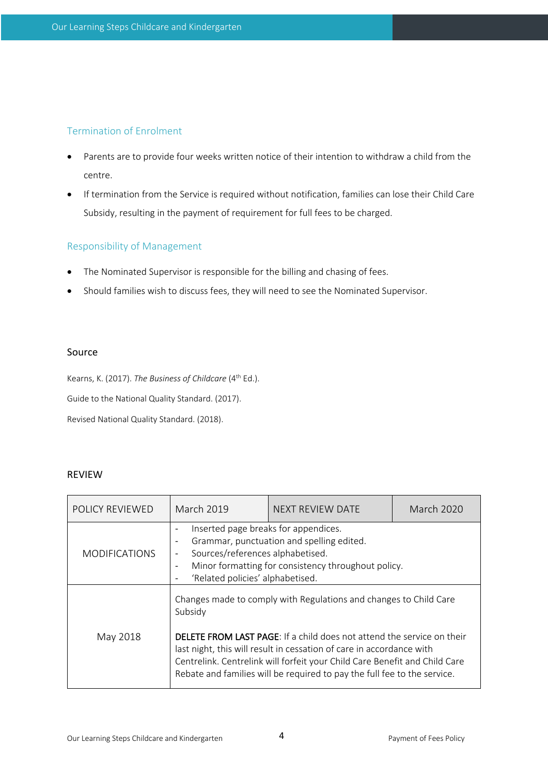# Termination of Enrolment

- Parents are to provide four weeks written notice of their intention to withdraw a child from the centre.
- If termination from the Service is required without notification, families can lose their Child Care Subsidy, resulting in the payment of requirement for full fees to be charged.

# Responsibility of Management

- The Nominated Supervisor is responsible for the billing and chasing of fees.
- Should families wish to discuss fees, they will need to see the Nominated Supervisor.

#### Source

Kearns, K. (2017). *The Business of Childcare* (4<sup>th</sup> Ed.). Guide to the National Quality Standard. (2017).

Revised National Quality Standard. (2018).

#### REVIEW

| <b>POLICY REVIEWED</b> | March 2019                                                                                                                                                                                                                                                                                                                                                                                      | NEXT REVIEW DATE | March 2020 |  |
|------------------------|-------------------------------------------------------------------------------------------------------------------------------------------------------------------------------------------------------------------------------------------------------------------------------------------------------------------------------------------------------------------------------------------------|------------------|------------|--|
| <b>MODIFICATIONS</b>   | Inserted page breaks for appendices.<br>$\overline{\phantom{a}}$<br>Grammar, punctuation and spelling edited.<br>Sources/references alphabetised.<br>Minor formatting for consistency throughout policy.<br>'Related policies' alphabetised.                                                                                                                                                    |                  |            |  |
| May 2018               | Changes made to comply with Regulations and changes to Child Care<br>Subsidy<br><b>DELETE FROM LAST PAGE:</b> If a child does not attend the service on their<br>last night, this will result in cessation of care in accordance with<br>Centrelink. Centrelink will forfeit your Child Care Benefit and Child Care<br>Rebate and families will be required to pay the full fee to the service. |                  |            |  |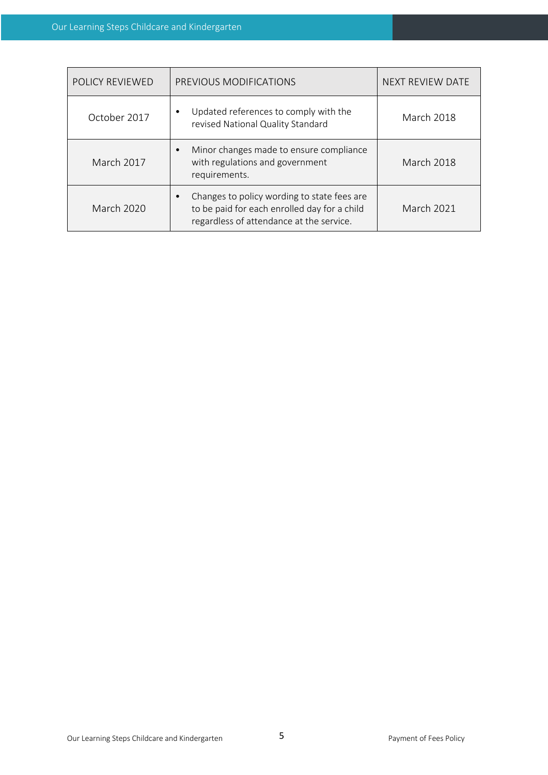| POLICY REVIEWED   | PREVIOUS MODIFICATIONS                                                                                                                  | <b>NEXT REVIEW DATE</b> |
|-------------------|-----------------------------------------------------------------------------------------------------------------------------------------|-------------------------|
| October 2017      | Updated references to comply with the<br>revised National Quality Standard                                                              | <b>March 2018</b>       |
| <b>March 2017</b> | Minor changes made to ensure compliance<br>with regulations and government<br>requirements.                                             | <b>March 2018</b>       |
| <b>March 2020</b> | Changes to policy wording to state fees are<br>to be paid for each enrolled day for a child<br>regardless of attendance at the service. | <b>March 2021</b>       |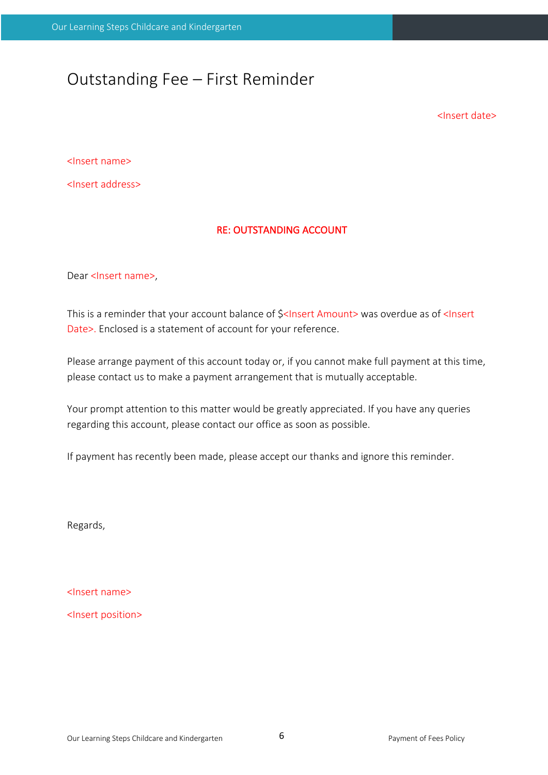# Outstanding Fee – First Reminder

<Insert date>

<Insert name>

<Insert address>

#### RE: OUTSTANDING ACCOUNT

Dear <Insert name>,

This is a reminder that your account balance of  $\frac{1}{5}$ <Insert Amount> was overdue as of <Insert Date>. Enclosed is a statement of account for your reference.

Please arrange payment of this account today or, if you cannot make full payment at this time, please contact us to make a payment arrangement that is mutually acceptable.

Your prompt attention to this matter would be greatly appreciated. If you have any queries regarding this account, please contact our office as soon as possible.

If payment has recently been made, please accept our thanks and ignore this reminder.

Regards,

<Insert name>

<Insert position>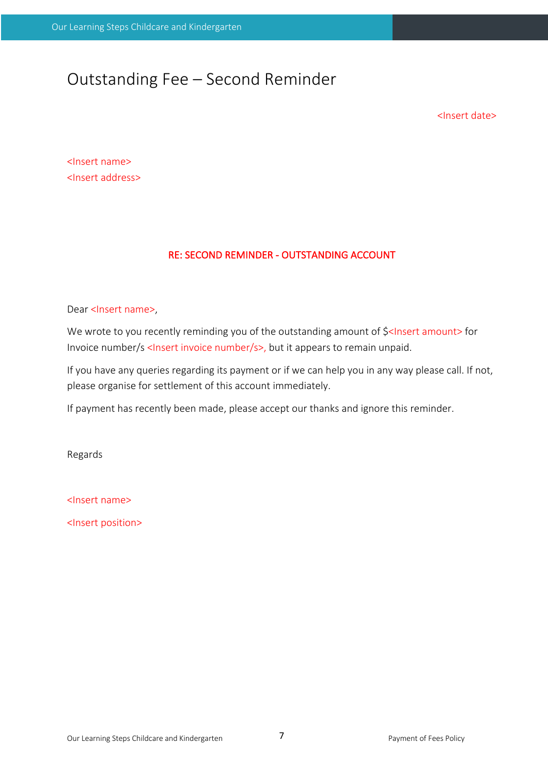# Outstanding Fee – Second Reminder

<Insert date>

<Insert name> <Insert address>

# RE: SECOND REMINDER - OUTSTANDING ACCOUNT

Dear <lnsert name>,

We wrote to you recently reminding you of the outstanding amount of \$<Insert amount> for Invoice number/s <Insert invoice number/s>, but it appears to remain unpaid.

If you have any queries regarding its payment or if we can help you in any way please call. If not, please organise for settlement of this account immediately.

If payment has recently been made, please accept our thanks and ignore this reminder.

Regards

<Insert name>

<Insert position>